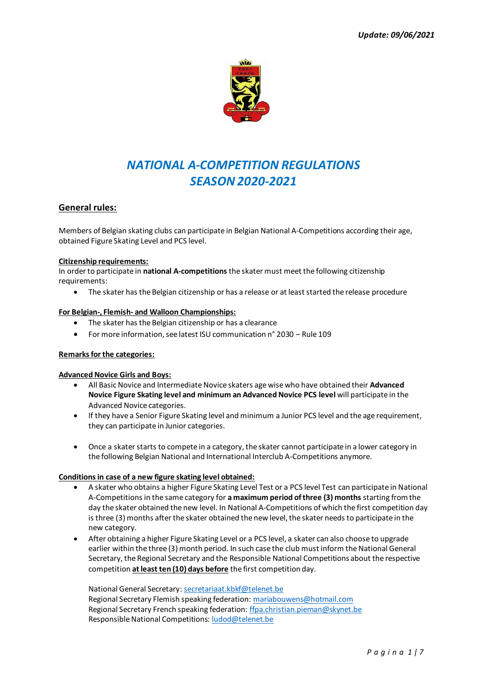

# *NATIONAL A-COMPETITION REGULATIONS SEASON 2020-2021*

# **General rules:**

Members of Belgian skating clubs can participate in Belgian National A-Competitions according their age, obtained Figure Skating Level and PCS level.

# **Citizenship requirements:**

In order to participate in **national A-competitions**the skater must meet the following citizenship requirements:

• The skater has the Belgian citizenship or has a release or at least started the release procedure

# **For Belgian-, Flemish- and Walloon Championships:**

- The skater has the Belgian citizenship or has a clearance
- For more information, see latest ISU communication n° 2030 Rule 109

# **Remarks for the categories:**

# **Advanced Novice Girls and Boys:**

- All Basic Novice and Intermediate Novice skaters age wise who have obtained their **Advanced Novice Figure Skating level and minimum an Advanced Novice PCS level** will participate in the Advanced Novice categories.
- If they have a Senior Figure Skating level and minimum a Junior PCS level and the age requirement, they can participate in Junior categories.
- Once a skater starts to compete in a category, the skater cannot participate in a lower category in the following Belgian National and International Interclub A-Competitions anymore.

# **Conditions in case of a new figure skating level obtained:**

- A skater who obtains a higher Figure Skating Level Test or a PCS level Test can participate in National A-Competitions in the same category for **a maximum period of three (3) months** starting from the day the skater obtained the new level. In National A-Competitions of which the first competition day is three (3) months after the skater obtained the new level, the skater needs to participate in the new category.
- After obtaining a higher Figure Skating Level or a PCS level, a skater can also choose to upgrade earlier within the three (3) month period. In such case the club must inform the National General Secretary, the Regional Secretary and the Responsible National Competitions about the respective competition **at least ten (10) days before** the first competition day.

National General Secretary[: secretariaat.kbkf@telenet.be](mailto:secretariaat.kbkf@telenet.be) Regional Secretary Flemish speaking federation[: mariabouwens@hotmail.com](mailto:mariabouwens@hotmail.com) Regional Secretary French speaking federation[: ffpa.christian.pieman@skynet.be](mailto:ffpa.christian.pieman@skynet.be) Responsible National Competitions[: ludod@telenet.be](mailto:ludod@telenet.be)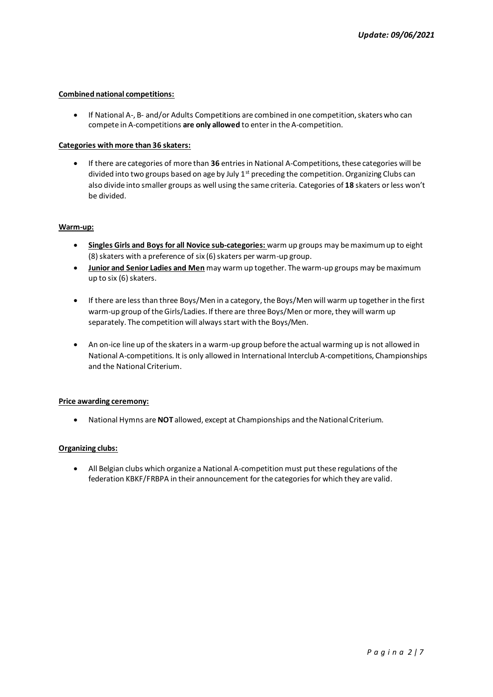### **Combined national competitions:**

• If National A-, B- and/or Adults Competitions are combined in one competition, skaters who can compete in A-competitions **are only allowed** to enter in the A-competition.

### **Categories with more than 36 skaters:**

• If there are categories of more than **36** entries in National A-Competitions, these categories will be divided into two groups based on age by July  $1^{st}$  preceding the competition. Organizing Clubs can also divide into smaller groups as well using the same criteria. Categories of **18** skaters or less won't be divided.

### **Warm-up:**

- **Singles Girls and Boys for all Novice sub-categories:** warm up groups may be maximum up to eight (8) skaters with a preference of six (6) skaters per warm-up group.
- **Junior and Senior Ladies and Men** may warm up together. The warm-up groups may be maximum up to six  $(6)$  skaters.
- If there are less than three Boys/Men in a category, the Boys/Men will warm up together in the first warm-up group of the Girls/Ladies. If there are three Boys/Men or more, they will warm up separately. The competition will always start with the Boys/Men.
- An on-ice line up of the skaters in a warm-up group before the actual warming up is not allowed in National A-competitions. It is only allowed in International Interclub A-competitions, Championships and the National Criterium.

#### **Price awarding ceremony:**

• National Hymns are **NOT** allowed, except at Championships and the National Criterium.

# **Organizing clubs:**

• All Belgian clubs which organize a National A-competition must put these regulations of the federation KBKF/FRBPA in their announcement for the categories for which they are valid.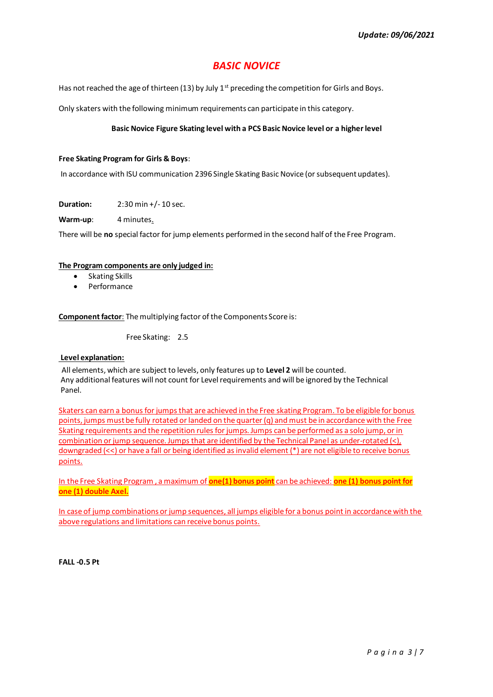# *BASIC NOVICE*

Has not reached the age of thirteen (13) by July  $1<sup>st</sup>$  preceding the competition for Girls and Boys.

Only skaters with the following minimum requirements can participate in this category.

# **Basic Novice Figure Skating level with a PCS Basic Novice level or a higher level**

# **Free Skating Program for Girls & Boys**:

In accordance with ISU communication 2396 Single Skating Basic Novice (or subsequent updates).

**Duration:** 2:30 min +/- 10 sec.

**Warm-up**: 4 minutes.

There will be **no** special factor for jump elements performed in the second half of the Free Program.

# **The Program components are only judged in:**

- Skating Skills
- Performance

**Component factor**: The multiplying factor of the Components Score is:

Free Skating: 2.5

# **Level explanation:**

All elements, which are subject to levels, only features up to **Level 2** will be counted. Any additional features will not count for Level requirements and will be ignored by the Technical Panel.

Skaters can earn a bonus for jumps that are achieved in the Free skating Program. To be eligible for bonus points, jumps must be fully rotated or landed on the quarter (q) and must be in accordance with the Free Skating requirements and the repetition rules for jumps. Jumps can be performed as a solo jump, or in combination or jump sequence. Jumps that are identified by the Technical Panel as under-rotated (<), downgraded (<<) or have a fall or being identified as invalid element (\*) are not eligible to receive bonus points.

In the Free Skating Program , a maximum of **one(1) bonus point** can be achieved: **one (1) bonus point for one (1) double Axel.**

In case of jump combinations or jump sequences, all jumps eligible for a bonus point in accordance with the above regulations and limitations can receive bonus points.

**FALL -0.5 Pt**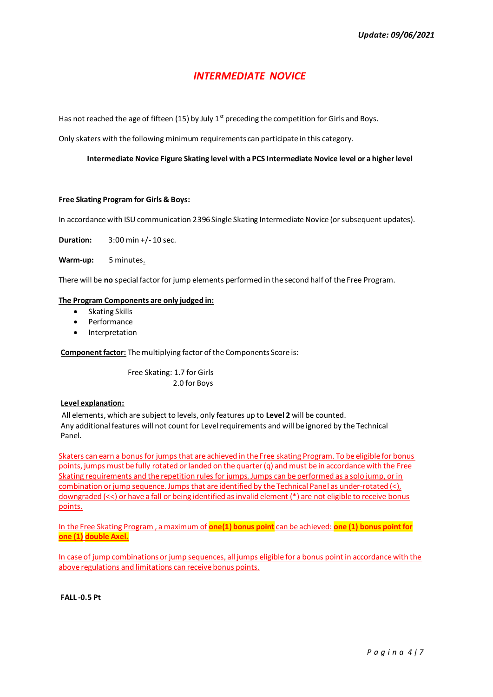# *INTERMEDIATE NOVICE*

Has not reached the age of fifteen (15) by July  $1<sup>st</sup>$  preceding the competition for Girls and Boys.

Only skaters with the following minimum requirements can participate in this category.

# **Intermediate Novice Figure Skating level with a PCS Intermediate Novice level or a higher level**

# **Free Skating Program for Girls & Boys:**

In accordance with ISU communication 2396 Single Skating Intermediate Novice (or subsequent updates).

**Duration:** 3:00 min +/- 10 sec.

**Warm-up:** 5 minutes.

There will be **no** special factor for jump elements performed in the second half of the Free Program.

### **The Program Components are only judged in:**

- Skating Skills
- Performance
- **Interpretation**

**Component factor:** The multiplying factor of the Components Score is:

 Free Skating: 1.7 for Girls 2.0 for Boys

#### **Level explanation:**

All elements, which are subject to levels, only features up to **Level 2** will be counted. Any additional features will not count for Level requirements and will be ignored by the Technical Panel.

Skaters can earn a bonus for jumps that are achieved in the Free skating Program. To be eligible for bonus points, jumps must be fully rotated or landed on the quarter (q) and must be in accordance with the Free Skating requirements and the repetition rules for jumps. Jumps can be performed as a solo jump, or in combination or jump sequence. Jumps that are identified by the Technical Panel as under-rotated (<), downgraded (<<) or have a fall or being identified as invalid element (\*) are not eligible to receive bonus points.

In the Free Skating Program , a maximum of **one(1) bonus point** can be achieved: **one (1) bonus point for one (1) double Axel.**

In case of jump combinations or jump sequences, all jumps eligible for a bonus point in accordance with the above regulations and limitations can receive bonus points.

**FALL -0.5 Pt**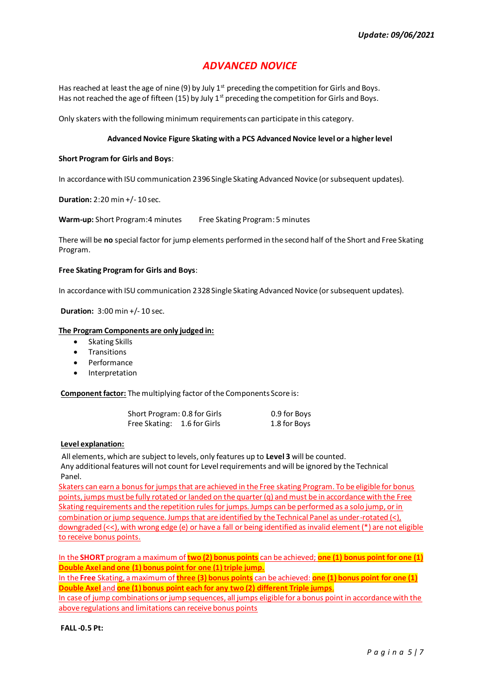# *ADVANCED NOVICE*

Has reached at least the age of nine (9) by July  $1<sup>st</sup>$  preceding the competition for Girls and Boys. Has not reached the age of fifteen (15) by July  $1<sup>st</sup>$  preceding the competition for Girls and Boys.

Only skaters with the following minimum requirements can participate in this category.

# **Advanced Novice Figure Skating with a PCS Advanced Novice level or a higher level**

### **Short Program for Girls and Boys**:

In accordance with ISU communication 2396 Single Skating Advanced Novice (or subsequent updates).

**Duration:** 2:20 min +/- 10 sec.

**Warm-up:** Short Program: 4 minutes Free Skating Program: 5 minutes

There will be **no** special factor for jump elements performed in the second half of the Short and Free Skating Program.

### **Free Skating Program for Girls and Boys**:

In accordance with ISU communication 2328 Single Skating Advanced Novice (or subsequent updates).

**Duration:** 3:00 min +/- 10 sec.

### **The Program Components are only judged in:**

- Skating Skills
- Transitions
- **Performance**
- Interpretation

**Component factor:** The multiplying factor of the Components Score is:

| Short Program: 0.8 for Girls | 0.9 for Boys |
|------------------------------|--------------|
| Free Skating: 1.6 for Girls  | 1.8 for Boys |

# **Level explanation:**

All elements, which are subject to levels, only features up to **Level 3** will be counted. Any additional features will not count for Level requirements and will be ignored by the Technical Panel.

Skaters can earn a bonus for jumps that are achieved in the Free skating Program. To be eligible for bonus points, jumps must be fully rotated or landed on the quarter (q) and must be in accordance with the Free Skating requirements and the repetition rules for jumps. Jumps can be performed as a solo jump, or in combination or jump sequence. Jumps that are identified by the Technical Panel as under-rotated (<), downgraded (<<), with wrong edge (e) or have a fall or being identified as invalid element (\*) are not eligible to receive bonus points.

In the **SHORT** program a maximum of **two (2) bonus points** can be achieved; **one (1) bonus point for one (1) Double Axel and one (1) bonus point for one (1) triple jump.**

In the **Free** Skating, a maximum of **three (3) bonus points** can be achieved: **one (1) bonus point for one (1) Double Axel** and **one (1) bonus point each for any two (2) different Triple jumps**.

In case of jump combinations or jump sequences, all jumps eligible for a bonus point in accordance with the above regulations and limitations can receive bonus points

**FALL -0.5 Pt:**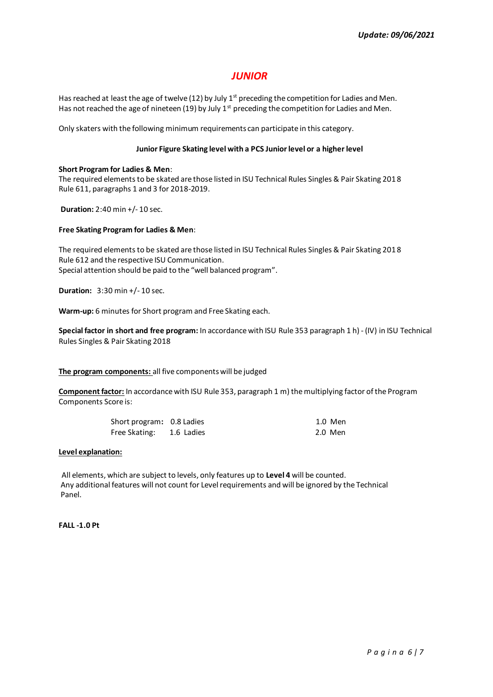# *JUNIOR*

Has reached at least the age of twelve (12) by July  $1<sup>st</sup>$  preceding the competition for Ladies and Men. Has not reached the age of nineteen (19) by July  $1^{st}$  preceding the competition for Ladies and Men.

Only skaters with the following minimum requirements can participate in this category.

# **Junior Figure Skating level with a PCS Junior level or a higher level**

### **Short Program for Ladies & Men**:

The required elements to be skated are those listed in ISU Technical Rules Singles & Pair Skating 2018 Rule 611, paragraphs 1 and 3 for 2018-2019.

**Duration:** 2:40 min +/- 10 sec.

### **Free Skating Program for Ladies & Men**:

The required elements to be skated are those listed in ISU Technical Rules Singles & Pair Skating 2018 Rule 612 and the respective ISU Communication. Special attention should be paid to the "well balanced program".

**Duration:** 3:30 min +/- 10 sec.

**Warm-up:** 6 minutes for Short program and Free Skating each.

**Special factor in short and free program:** In accordance with ISU Rule 353 paragraph 1 h) - (IV) in ISU Technical Rules Singles & Pair Skating 2018

# **The program components:** all five components will be judged

**Component factor:** In accordance with ISU Rule 353, paragraph 1 m) the multiplying factor of the Program Components Score is:

| Short program: 0.8 Ladies | 1.0 Men |
|---------------------------|---------|
| Free Skating: 1.6 Ladies  | 2.0 Men |

### **Level explanation:**

All elements, which are subject to levels, only features up to **Level 4** will be counted. Any additional features will not count for Level requirements and will be ignored by the Technical Panel.

**FALL -1.0 Pt**